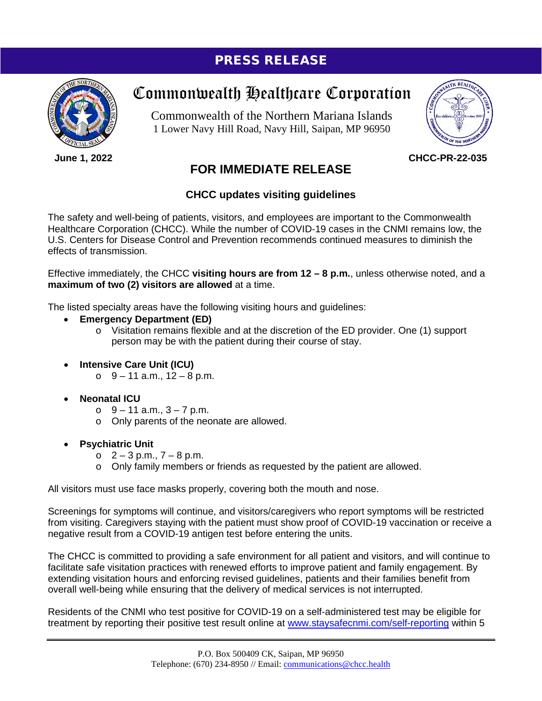## PRESS RELEASE



**June 1, 2022**

# Commonwealth Healthcare Corporation

Commonwealth of the Northern Mariana Islands 1 Lower Navy Hill Road, Navy Hill, Saipan, MP 96950



**CHCC-PR-22-035**

### **FOR IMMEDIATE RELEASE**

#### **CHCC updates visiting guidelines**

The safety and well-being of patients, visitors, and employees are important to the Commonwealth Healthcare Corporation (CHCC). While the number of COVID-19 cases in the CNMI remains low, the U.S. Centers for Disease Control and Prevention recommends continued measures to diminish the effects of transmission.

Effective immediately, the CHCC **visiting hours are from 12 – 8 p.m.**, unless otherwise noted, and a **maximum of two (2) visitors are allowed** at a time.

The listed specialty areas have the following visiting hours and guidelines:

#### • **Emergency Department (ED)**

- $\circ$  Visitation remains flexible and at the discretion of the ED provider. One (1) support person may be with the patient during their course of stay.
- **Intensive Care Unit (ICU)**
	- $\circ$  9 11 a.m., 12 8 p.m.
- **Neonatal ICU**
	- $\circ$  9 11 a.m., 3 7 p.m.
	- o Only parents of the neonate are allowed.
- **Psychiatric Unit**
	- $O$   $2 3$  p.m.,  $7 8$  p.m.
	- o Only family members or friends as requested by the patient are allowed.

All visitors must use face masks properly, covering both the mouth and nose.

Screenings for symptoms will continue, and visitors/caregivers who report symptoms will be restricted from visiting. Caregivers staying with the patient must show proof of COVID-19 vaccination or receive a negative result from a COVID-19 antigen test before entering the units.

The CHCC is committed to providing a safe environment for all patient and visitors, and will continue to facilitate safe visitation practices with renewed efforts to improve patient and family engagement. By extending visitation hours and enforcing revised guidelines, patients and their families benefit from overall well-being while ensuring that the delivery of medical services is not interrupted.

Residents of the CNMI who test positive for COVID-19 on a self-administered test may be eligible for treatment by reporting their positive test result online at [www.staysafecnmi.com/self-reporting](http://www.staysafecnmi.com/self-reporting) within 5